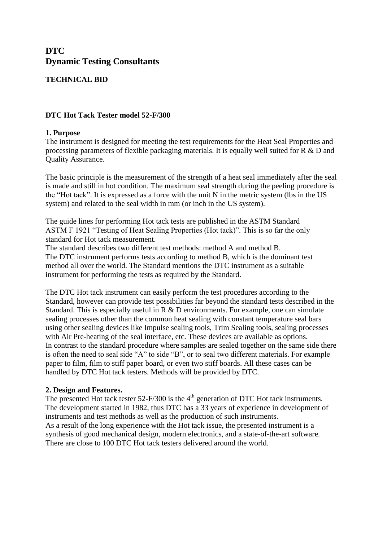# **DTC Dynamic Testing Consultants**

## **TECHNICAL BID**

## **DTC Hot Tack Tester model 52-F/300**

### **1. Purpose**

The instrument is designed for meeting the test requirements for the Heat Seal Properties and processing parameters of flexible packaging materials. It is equally well suited for R & D and Quality Assurance.

The basic principle is the measurement of the strength of a heat seal immediately after the seal is made and still in hot condition. The maximum seal strength during the peeling procedure is the "Hot tack". It is expressed as a force with the unit N in the metric system (lbs in the US system) and related to the seal width in mm (or inch in the US system).

The guide lines for performing Hot tack tests are published in the ASTM Standard ASTM F 1921 "Testing of Heat Sealing Properties (Hot tack)". This is so far the only standard for Hot tack measurement.

The standard describes two different test methods: method A and method B. The DTC instrument performs tests according to method B, which is the dominant test method all over the world. The Standard mentions the DTC instrument as a suitable instrument for performing the tests as required by the Standard.

The DTC Hot tack instrument can easily perform the test procedures according to the Standard, however can provide test possibilities far beyond the standard tests described in the Standard. This is especially useful in R & D environments. For example, one can simulate sealing processes other than the common heat sealing with constant temperature seal bars using other sealing devices like Impulse sealing tools, Trim Sealing tools, sealing processes with Air Pre-heating of the seal interface, etc. These devices are available as options. In contrast to the standard procedure where samples are sealed together on the same side there is often the need to seal side "A" to side "B", or to seal two different materials. For example paper to film, film to stiff paper board, or even two stiff boards. All these cases can be handled by DTC Hot tack testers. Methods will be provided by DTC.

#### **2. Design and Features.**

The presented Hot tack tester  $52$ -F/300 is the 4<sup>th</sup> generation of DTC Hot tack instruments. The development started in 1982, thus DTC has a 33 years of experience in development of instruments and test methods as well as the production of such instruments. As a result of the long experience with the Hot tack issue, the presented instrument is a synthesis of good mechanical design, modern electronics, and a state-of-the-art software. There are close to 100 DTC Hot tack testers delivered around the world.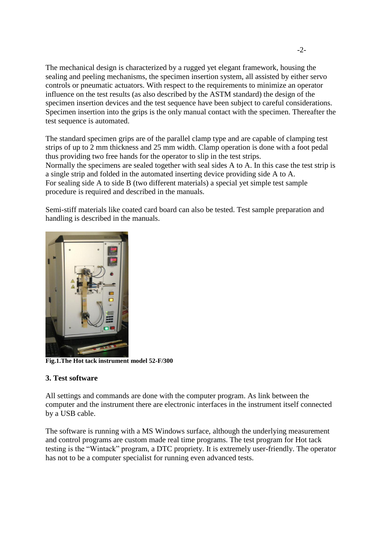The mechanical design is characterized by a rugged yet elegant framework, housing the sealing and peeling mechanisms, the specimen insertion system, all assisted by either servo controls or pneumatic actuators. With respect to the requirements to minimize an operator influence on the test results (as also described by the ASTM standard) the design of the specimen insertion devices and the test sequence have been subject to careful considerations. Specimen insertion into the grips is the only manual contact with the specimen. Thereafter the test sequence is automated.

The standard specimen grips are of the parallel clamp type and are capable of clamping test strips of up to 2 mm thickness and 25 mm width. Clamp operation is done with a foot pedal thus providing two free hands for the operator to slip in the test strips. Normally the specimens are sealed together with seal sides A to A. In this case the test strip is a single strip and folded in the automated inserting device providing side A to A. For sealing side A to side B (two different materials) a special yet simple test sample procedure is required and described in the manuals.

Semi-stiff materials like coated card board can also be tested. Test sample preparation and handling is described in the manuals.



**Fig.1.The Hot tack instrument model 52-F/300**

#### **3. Test software**

All settings and commands are done with the computer program. As link between the computer and the instrument there are electronic interfaces in the instrument itself connected by a USB cable.

The software is running with a MS Windows surface, although the underlying measurement and control programs are custom made real time programs. The test program for Hot tack testing is the "Wintack" program, a DTC propriety. It is extremely user-friendly. The operator has not to be a computer specialist for running even advanced tests.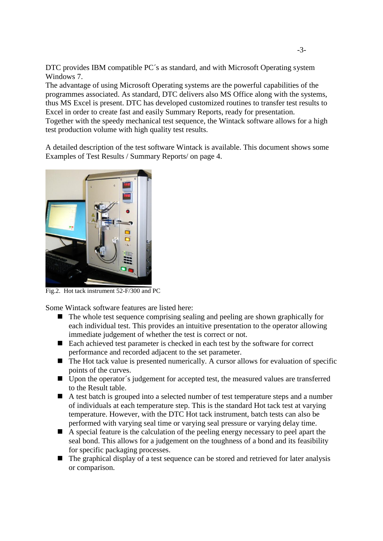DTC provides IBM compatible PC´s as standard, and with Microsoft Operating system Windows 7.

The advantage of using Microsoft Operating systems are the powerful capabilities of the programmes associated. As standard, DTC delivers also MS Office along with the systems, thus MS Excel is present. DTC has developed customized routines to transfer test results to Excel in order to create fast and easily Summary Reports, ready for presentation.

Together with the speedy mechanical test sequence, the Wintack software allows for a high test production volume with high quality test results.

A detailed description of the test software Wintack is available. This document shows some Examples of Test Results / Summary Reports/ on page 4.



Fig.2. Hot tack instrument 52-F/300 and PC

Some Wintack software features are listed here:

- $\blacksquare$  The whole test sequence comprising sealing and peeling are shown graphically for each individual test. This provides an intuitive presentation to the operator allowing immediate judgement of whether the test is correct or not.
- Each achieved test parameter is checked in each test by the software for correct performance and recorded adjacent to the set parameter.
- $\blacksquare$  The Hot tack value is presented numerically. A cursor allows for evaluation of specific points of the curves.
- Upon the operator's judgement for accepted test, the measured values are transferred to the Result table.
- A test batch is grouped into a selected number of test temperature steps and a number of individuals at each temperature step. This is the standard Hot tack test at varying temperature. However, with the DTC Hot tack instrument, batch tests can also be performed with varying seal time or varying seal pressure or varying delay time.
- A special feature is the calculation of the peeling energy necessary to peel apart the seal bond. This allows for a judgement on the toughness of a bond and its feasibility for specific packaging processes.
- The graphical display of a test sequence can be stored and retrieved for later analysis or comparison.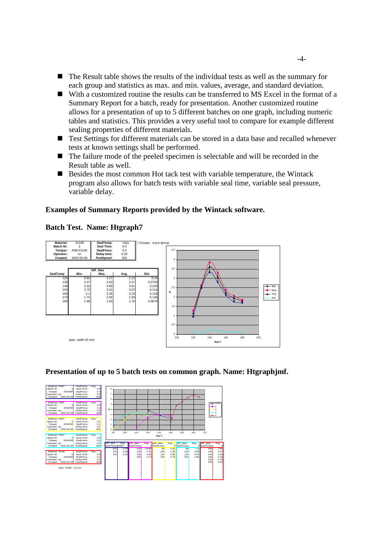- $\blacksquare$  The Result table shows the results of the individual tests as well as the summary for each group and statistics as max. and min. values, average, and standard deviation.
- With a customized routine the results can be transferred to MS Excel in the format of a Summary Report for a batch, ready for presentation. Another customized routine allows for a presentation of up to 5 different batches on one graph, including numeric tables and statistics. This provides a very useful tool to compare for example different sealing properties of different materials.
- Test Settings for different materials can be stored in a data base and recalled whenever tests at known settings shall be performed.
- The failure mode of the peeled specimen is selectable and will be recorded in the Result table as well.
- Besides the most common Hot tack test with variable temperature, the Wintack program also allows for batch tests with variable seal time, variable seal pressure, variable delay.

#### **Examples of Summary Reports provided by the Wintack software.**

#### **Batch Test. Name: Htgraph7**



#### **Presentation of up to 5 batch tests on common graph. Name: Htgraphjmf.**